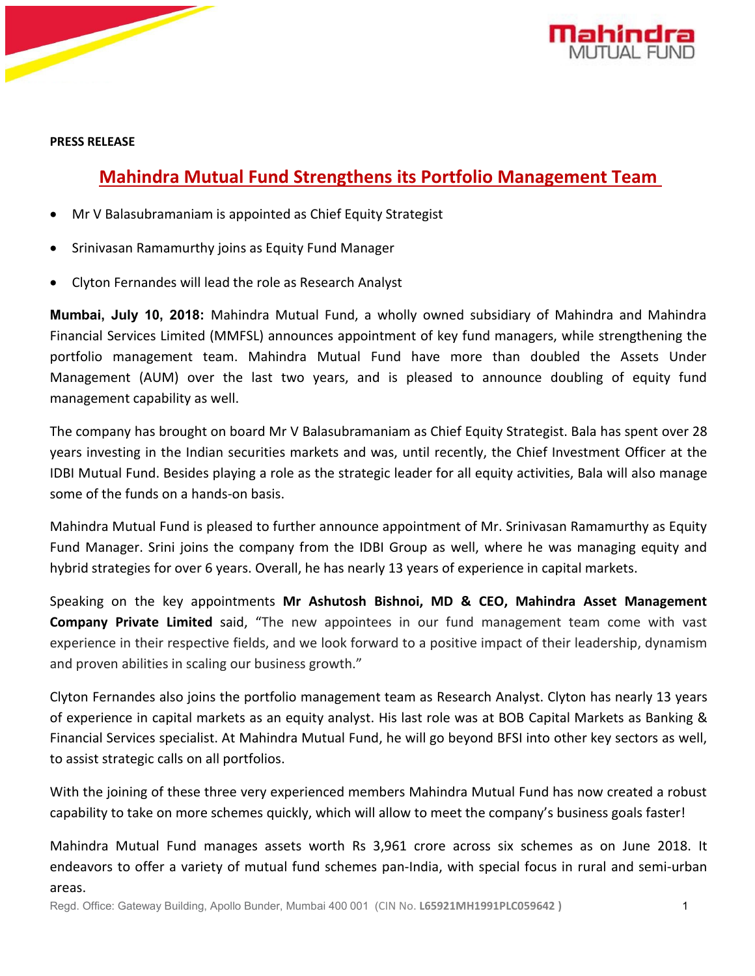



**PRESS RELEASE**

## **Mahindra Mutual Fund Strengthens its Portfolio Management Team**

- Mr V Balasubramaniam is appointed as Chief Equity Strategist
- Srinivasan Ramamurthy joins as Equity Fund Manager
- Clyton Fernandes will lead the role as Research Analyst

**Mumbai, July 10, 2018:** Mahindra Mutual Fund, a wholly owned subsidiary of Mahindra and Mahindra Financial Services Limited (MMFSL) announces appointment of key fund managers, while strengthening the portfolio management team. Mahindra Mutual Fund have more than doubled the Assets Under Management (AUM) over the last two years, and is pleased to announce doubling of equity fund management capability as well.

The company has brought on board Mr V Balasubramaniam as Chief Equity Strategist. Bala hasspent over 28 years investing in the Indian securities markets and was, until recently, the Chief Investment Officer at the IDBI Mutual Fund. Besides playing a role as the strategic leader for all equity activities, Bala will also manage some of the funds on a hands-on basis.

Mahindra Mutual Fund is pleased to further announce appointment of Mr. Srinivasan Ramamurthy as Equity Fund Manager. Srini joins the company from the IDBI Group as well, where he was managing equity and hybrid strategies for over 6 years. Overall, he has nearly 13 years of experience in capital markets.

Speaking on the key appointments **Mr Ashutosh Bishnoi, MD & CEO, Mahindra AssetManagement Company Private Limited** said, "The new appointees in our fund management team come with vast experience in their respective fields, and we look forward to a positive impact of their leadership, dynamism and proven abilities in scaling our business growth."

Clyton Fernandes also joins the portfolio management team as Research Analyst. Clyton has nearly 13 years of experience in capital markets as an equity analyst. His last role was at BOB Capital Markets as Banking & Financial Services specialist. At Mahindra Mutual Fund, he will go beyond BFSI into other key sectors as well, to assist strategic calls on all portfolios.

With the joining of these three very experienced members Mahindra Mutual Fund has now created a robust capability to take on more schemes quickly, which will allow to meet the company's business goals faster!

Mahindra Mutual Fund manages assets worth Rs 3,961 crore across six schemes as on June 2018. It endeavors to offer a variety of mutual fund schemes pan-India, with special focus in rural and semi-urban areas.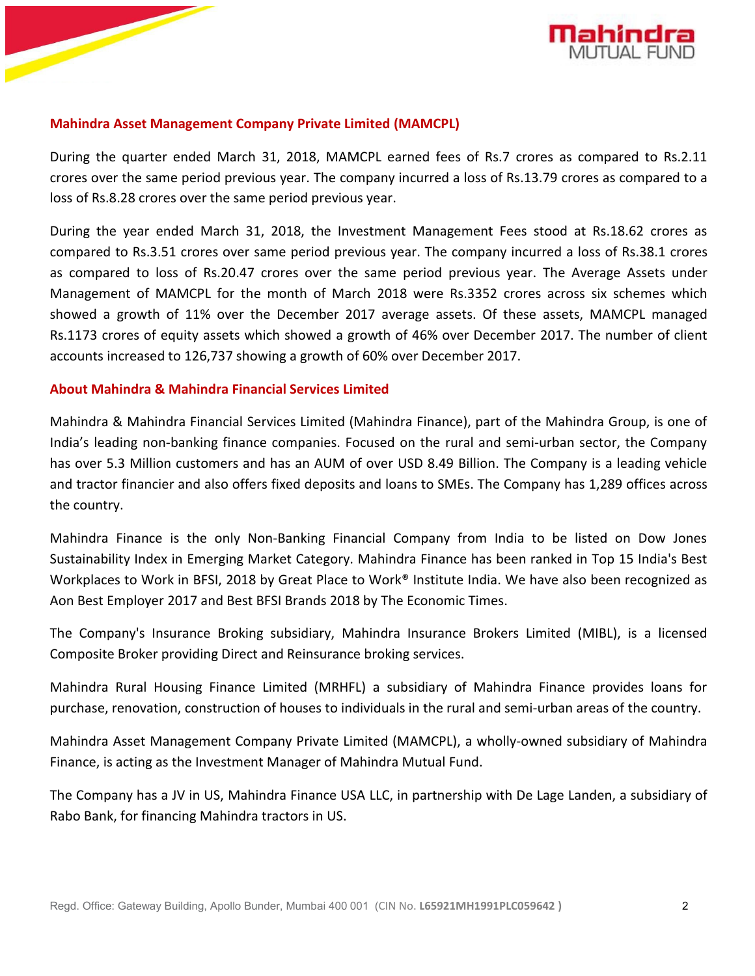

## **Mahindra Asset Management Company Private Limited (MAMCPL)**

During the quarter ended March 31, 2018, MAMCPL earned fees of Rs.7 crores as compared to Rs.2.11 crores over the same period previous year. The company incurred a lossof Rs.13.79 crores as compared to a loss of Rs.8.28 crores over the same period previous year.

During the year ended March 31, 2018, the Investment Management Fees stood at Rs.18.62 crores as compared to Rs.3.51 crores over same period previous year. The company incurred a lossof Rs.38.1 crores as compared to loss of Rs.20.47 crores over the same period previous year. The Average Assets under Management of MAMCPL for the month of March 2018 were Rs.3352 crores across six schemes which showed a growth of 11% over the December 2017 average assets. Of these assets, MAMCPL managed Rs.1173 crores of equity assets which showed a growth of 46% over December 2017. The number of client accounts increased to 126,737 showing a growth of 60% over December 2017.

## **About Mahindra & Mahindra Financial Services Limited**

Mahindra & Mahindra Financial Services Limited (Mahindra Finance), part of the Mahindra Group, is one of India's leading non-banking finance companies. Focused on the rural and semi-urban sector, the Company has over 5.3 Million customers and has an AUM of over USD 8.49 Billion. The Company is a leading vehicle and tractor financier and also offersfixed deposits and loans to SMEs. The Company has 1,289 offices across the country.

Mahindra Finance is the only Non-Banking Financial Company from India to be listed on Dow Jones Sustainability Index in Emerging Market Category. Mahindra Finance has been ranked in Top 15 India's Best Workplaces to Work in BFSI, 2018 by Great Place to Work<sup>®</sup> Institute India. We have also been recognized as Aon Best Employer 2017 and Best BFSI Brands 2018 by The Economic Times.

The Company's Insurance Broking subsidiary, Mahindra Insurance Brokers Limited (MIBL), is a licensed Composite Broker providing Direct and Reinsurance broking services.

Mahindra Rural Housing Finance Limited (MRHFL) a subsidiary of Mahindra Finance provides loans for purchase, renovation, construction of houses to individuals in the rural and semi-urban areas of the country.

Mahindra Asset Management Company Private Limited (MAMCPL), a wholly-owned subsidiary of Mahindra Finance, is acting as the Investment Manager of Mahindra Mutual Fund.

The Company has a JV in US, Mahindra Finance USA LLC, in partnership with De Lage Landen, a subsidiary of Rabo Bank, for financing Mahindra tractors in US.